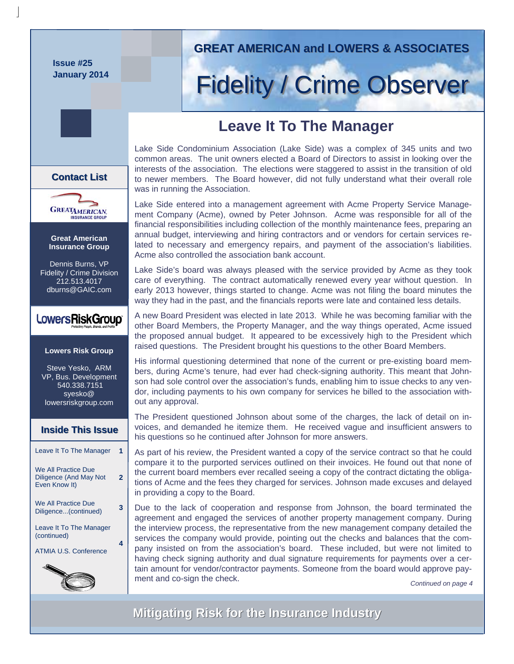**Issue #25 January 2014** 

# **GREAT AMERICAN and LOWERS & ASSOCIATES GREAT AMERICAN and LOWERS & ASSOCIATES**

# Fidelity / Crime Observer

# **Leave It To The Manager**

Lake Side Condominium Association (Lake Side) was a complex of 345 units and two common areas. The unit owners elected a Board of Directors to assist in looking over the interests of the association. The elections were staggered to assist in the transition of old to newer members. The Board however, did not fully understand what their overall role was in running the Association.

Lake Side entered into a management agreement with Acme Property Service Management Company (Acme), owned by Peter Johnson. Acme was responsible for all of the financial responsibilities including collection of the monthly maintenance fees, preparing an annual budget, interviewing and hiring contractors and or vendors for certain services related to necessary and emergency repairs, and payment of the association's liabilities. Acme also controlled the association bank account.

Lake Side's board was always pleased with the service provided by Acme as they took care of everything. The contract automatically renewed every year without question. In early 2013 however, things started to change. Acme was not filing the board minutes the way they had in the past, and the financials reports were late and contained less details.

A new Board President was elected in late 2013. While he was becoming familiar with the other Board Members, the Property Manager, and the way things operated, Acme issued the proposed annual budget. It appeared to be excessively high to the President which raised questions. The President brought his questions to the other Board Members.

His informal questioning determined that none of the current or pre-existing board members, during Acme's tenure, had ever had check-signing authority. This meant that Johnson had sole control over the association's funds, enabling him to issue checks to any vendor, including payments to his own company for services he billed to the association without any approval.

The President questioned Johnson about some of the charges, the lack of detail on invoices, and demanded he itemize them. He received vague and insufficient answers to his questions so he continued after Johnson for more answers.

As part of his review, the President wanted a copy of the service contract so that he could compare it to the purported services outlined on their invoices. He found out that none of the current board members ever recalled seeing a copy of the contract dictating the obligations of Acme and the fees they charged for services. Johnson made excuses and delayed in providing a copy to the Board.

Due to the lack of cooperation and response from Johnson, the board terminated the agreement and engaged the services of another property management company. During the interview process, the representative from the new management company detailed the services the company would provide, pointing out the checks and balances that the company insisted on from the association's board. These included, but were not limited to having check signing authority and dual signature requirements for payments over a certain amount for vendor/contractor payments. Someone from the board would approve payment and co-sign the check. **Continued on page 4** Continued on page 4

**Mitigating Risk for the Insurance Industry Mitigating Risk for the Insurance Industry**

### **Contact List Contact List**



**Great American Insurance Group** 

Dennis Burns, VP Fidelity / Crime Division 212.513.4017 dburns@GAIC.com

# LowersRiskGroup®

#### **Lowers Risk Group**

Steve Yesko, ARM VP, Bus. Development 540.338.7151 syesko@ lowersriskgroup.com

#### **Inside This Issue Inside This Issue**

| Leave It To The Manager                                        |   |
|----------------------------------------------------------------|---|
| We All Practice Due<br>Diligence (And May Not<br>Even Know It) | 2 |
| We All Practice Due<br>Diligence(continued)                    |   |
| Leave It To The Manager<br>(continued)                         |   |
| <b>ATMIA U.S. Conference</b>                                   |   |
| ∕                                                              |   |

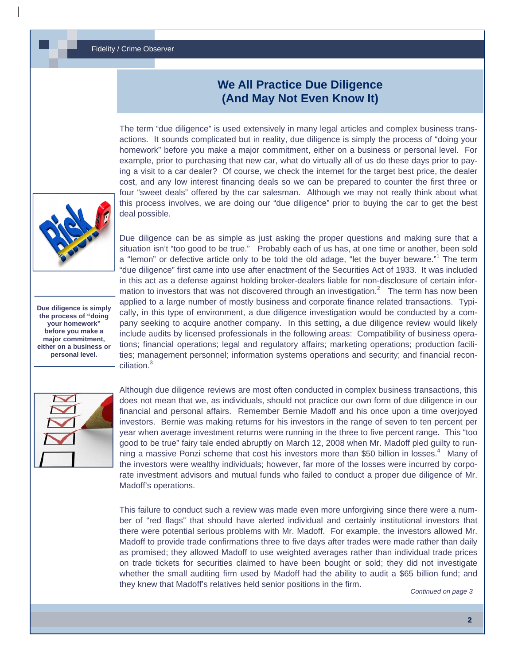#### Fidelity / Crime Observer

## **We All Practice Due Diligence (And May Not Even Know It)**

The term "due diligence" is used extensively in many legal articles and complex business transactions. It sounds complicated but in reality, due diligence is simply the process of "doing your homework" before you make a major commitment, either on a business or personal level. For example, prior to purchasing that new car, what do virtually all of us do these days prior to paying a visit to a car dealer? Of course, we check the internet for the target best price, the dealer cost, and any low interest financing deals so we can be prepared to counter the first three or four "sweet deals" offered by the car salesman. Although we may not really think about what this process involves, we are doing our "due diligence" prior to buying the car to get the best deal possible.

**Due diligence is simply the process of "doing your homework" before you make a major commitment, either on a business or personal level.** 

Due diligence can be as simple as just asking the proper questions and making sure that a situation isn't "too good to be true." Probably each of us has, at one time or another, been sold a "lemon" or defective article only to be told the old adage, "let the buyer beware."<sup>1</sup> The term "due diligence" first came into use after enactment of the Securities Act of 1933. It was included in this act as a defense against holding broker-dealers liable for non-disclosure of certain information to investors that was not discovered through an investigation.<sup>2</sup> The term has now been applied to a large number of mostly business and corporate finance related transactions. Typically, in this type of environment, a due diligence investigation would be conducted by a company seeking to acquire another company. In this setting, a due diligence review would likely include audits by licensed professionals in the following areas: Compatibility of business operations; financial operations; legal and regulatory affairs; marketing operations; production facilities; management personnel; information systems operations and security; and financial reconciliation.<sup>3</sup>



Although due diligence reviews are most often conducted in complex business transactions, this does not mean that we, as individuals, should not practice our own form of due diligence in our financial and personal affairs. Remember Bernie Madoff and his once upon a time overjoyed investors. Bernie was making returns for his investors in the range of seven to ten percent per year when average investment returns were running in the three to five percent range. This "too good to be true" fairy tale ended abruptly on March 12, 2008 when Mr. Madoff pled guilty to running a massive Ponzi scheme that cost his investors more than \$50 billion in losses.<sup>4</sup> Many of the investors were wealthy individuals; however, far more of the losses were incurred by corporate investment advisors and mutual funds who failed to conduct a proper due diligence of Mr. Madoff's operations.

This failure to conduct such a review was made even more unforgiving since there were a number of "red flags" that should have alerted individual and certainly institutional investors that there were potential serious problems with Mr. Madoff. For example, the investors allowed Mr. Madoff to provide trade confirmations three to five days after trades were made rather than daily as promised; they allowed Madoff to use weighted averages rather than individual trade prices on trade tickets for securities claimed to have been bought or sold; they did not investigate whether the small auditing firm used by Madoff had the ability to audit a \$65 billion fund; and they knew that Madoff's relatives held senior positions in the firm.

*Continued on page 3*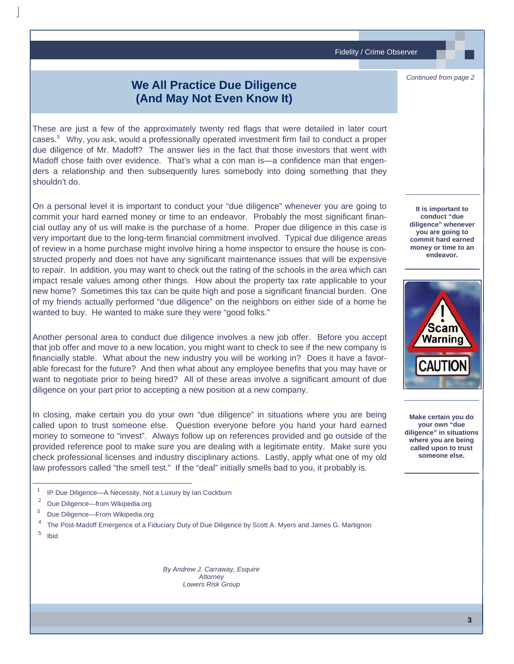Fidelity / Crime Observer

# **We All Practice Due Diligence (And May Not Even Know It)**

These are just a few of the approximately twenty red flags that were detailed in later court cases.<sup>5</sup> Why, you ask, would a professionally operated investment firm fail to conduct a proper due diligence of Mr. Madoff? The answer lies in the fact that those investors that went with Madoff chose faith over evidence. That's what a con man is—a confidence man that engenders a relationship and then subsequently lures somebody into doing something that they shouldn't do.

On a personal level it is important to conduct your "due diligence" whenever you are going to commit your hard earned money or time to an endeavor. Probably the most significant financial outlay any of us will make is the purchase of a home. Proper due diligence in this case is very important due to the long-term financial commitment involved. Typical due diligence areas of review in a home purchase might involve hiring a home inspector to ensure the house is constructed properly and does not have any significant maintenance issues that will be expensive to repair. In addition, you may want to check out the rating of the schools in the area which can impact resale values among other things. How about the property tax rate applicable to your new home? Sometimes this tax can be quite high and pose a significant financial burden. One of my friends actually performed "due diligence" on the neighbors on either side of a home he wanted to buy. He wanted to make sure they were "good folks."

Another personal area to conduct due diligence involves a new job offer. Before you accept that job offer and move to a new location, you might want to check to see if the new company is financially stable. What about the new industry you will be working in? Does it have a favorable forecast for the future? And then what about any employee benefits that you may have or want to negotiate prior to being hired? All of these areas involve a significant amount of due diligence on your part prior to accepting a new position at a new company.

In closing, make certain you do your own "due diligence" in situations where you are being called upon to trust someone else. Question everyone before you hand your hard earned money to someone to "invest". Always follow up on references provided and go outside of the provided reference pool to make sure you are dealing with a legitimate entity. Make sure you check professional licenses and industry disciplinary actions. Lastly, apply what one of my old law professors called "the smell test." If the "deal" initially smells bad to you, it probably is.

 $1$  IP Due Diligence—A Necessity, Not a Luxury by Ian Cockburn

\_\_\_\_\_\_\_\_\_\_\_\_\_\_\_\_\_\_\_\_\_\_\_\_\_\_\_\_\_\_\_\_\_\_\_\_

- <sup>2</sup> Due Diligence—from Wikipedia.org
- 3 Due Diligence—From Wikipedia.org
- 4 The Post-Madoff Emergence of a Fiduciary Duty of Due Diligence by Scott A. Myers and James G. Martignon 5 Ibid

*By Andrew J. Carraway, Esquire Attorney Lowers Risk Group*

**It is important to conduct "due diligence" whenever you are going to commit hard earned money or time to an endeavor.** 

*Continued from page 2*



**Make certain you do your own "due diligence" in situations where you are being called upon to trust someone else.**